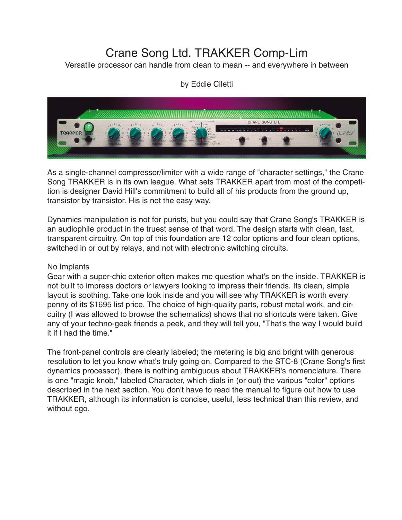# Crane Song Ltd. TRAKKER Comp-Lim

Versatile processor can handle from clean to mean -- and everywhere in between

# by Eddie Ciletti



As a single-channel compressor/limiter with a wide range of "character settings," the Crane Song TRAKKER is in its own league. What sets TRAKKER apart from most of the competition is designer David Hill's commitment to build all of his products from the ground up, transistor by transistor. His is not the easy way.

Dynamics manipulation is not for purists, but you could say that Crane Song's TRAKKER is an audiophile product in the truest sense of that word. The design starts with clean, fast, transparent circuitry. On top of this foundation are 12 color options and four clean options, switched in or out by relays, and not with electronic switching circuits.

#### No Implants

Gear with a super-chic exterior often makes me question what's on the inside. TRAKKER is not built to impress doctors or lawyers looking to impress their friends. Its clean, simple layout is soothing. Take one look inside and you will see why TRAKKER is worth every penny of its \$1695 list price. The choice of high-quality parts, robust metal work, and circuitry (I was allowed to browse the schematics) shows that no shortcuts were taken. Give any of your techno-geek friends a peek, and they will tell you, "That's the way I would build it if I had the time."

The front-panel controls are clearly labeled; the metering is big and bright with generous resolution to let you know what's truly going on. Compared to the STC-8 (Crane Song's first dynamics processor), there is nothing ambiguous about TRAKKER's nomenclature. There is one "magic knob," labeled Character, which dials in (or out) the various "color" options described in the next section. You don't have to read the manual to figure out how to use TRAKKER, although its information is concise, useful, less technical than this review, and without ego.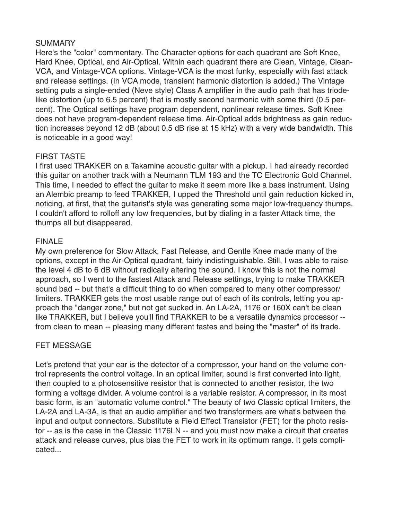#### **SUMMARY**

Here's the "color" commentary. The Character options for each quadrant are Soft Knee, Hard Knee, Optical, and Air-Optical. Within each quadrant there are Clean, Vintage, Clean-VCA, and Vintage-VCA options. Vintage-VCA is the most funky, especially with fast attack and release settings. (In VCA mode, transient harmonic distortion is added.) The Vintage setting puts a single-ended (Neve style) Class A amplifier in the audio path that has triodelike distortion (up to 6.5 percent) that is mostly second harmonic with some third (0.5 percent). The Optical settings have program dependent, nonlinear release times. Soft Knee does not have program-dependent release time. Air-Optical adds brightness as gain reduction increases beyond 12 dB (about 0.5 dB rise at 15 kHz) with a very wide bandwidth. This is noticeable in a good way!

## FIRST TASTE

I first used TRAKKER on a Takamine acoustic guitar with a pickup. I had already recorded this guitar on another track with a Neumann TLM 193 and the TC Electronic Gold Channel. This time, I needed to effect the guitar to make it seem more like a bass instrument. Using an Alembic preamp to feed TRAKKER, I upped the Threshold until gain reduction kicked in, noticing, at first, that the guitarist's style was generating some major low-frequency thumps. I couldn't afford to rolloff any low frequencies, but by dialing in a faster Attack time, the thumps all but disappeared.

## FINALE

My own preference for Slow Attack, Fast Release, and Gentle Knee made many of the options, except in the Air-Optical quadrant, fairly indistinguishable. Still, I was able to raise the level 4 dB to 6 dB without radically altering the sound. I know this is not the normal approach, so I went to the fastest Attack and Release settings, trying to make TRAKKER sound bad -- but that's a difficult thing to do when compared to many other compressor/ limiters. TRAKKER gets the most usable range out of each of its controls, letting you approach the "danger zone," but not get sucked in. An LA-2A, 1176 or 160X can't be clean like TRAKKER, but I believe you'll find TRAKKER to be a versatile dynamics processor - from clean to mean -- pleasing many different tastes and being the "master" of its trade.

# FET MESSAGE

Let's pretend that your ear is the detector of a compressor, your hand on the volume control represents the control voltage. In an optical limiter, sound is first converted into light, then coupled to a photosensitive resistor that is connected to another resistor, the two forming a voltage divider. A volume control is a variable resistor. A compressor, in its most basic form, is an "automatic volume control." The beauty of two Classic optical limiters, the LA-2A and LA-3A, is that an audio amplifier and two transformers are what's between the input and output connectors. Substitute a Field Effect Transistor (FET) for the photo resistor -- as is the case in the Classic 1176LN -- and you must now make a circuit that creates attack and release curves, plus bias the FET to work in its optimum range. It gets complicated...